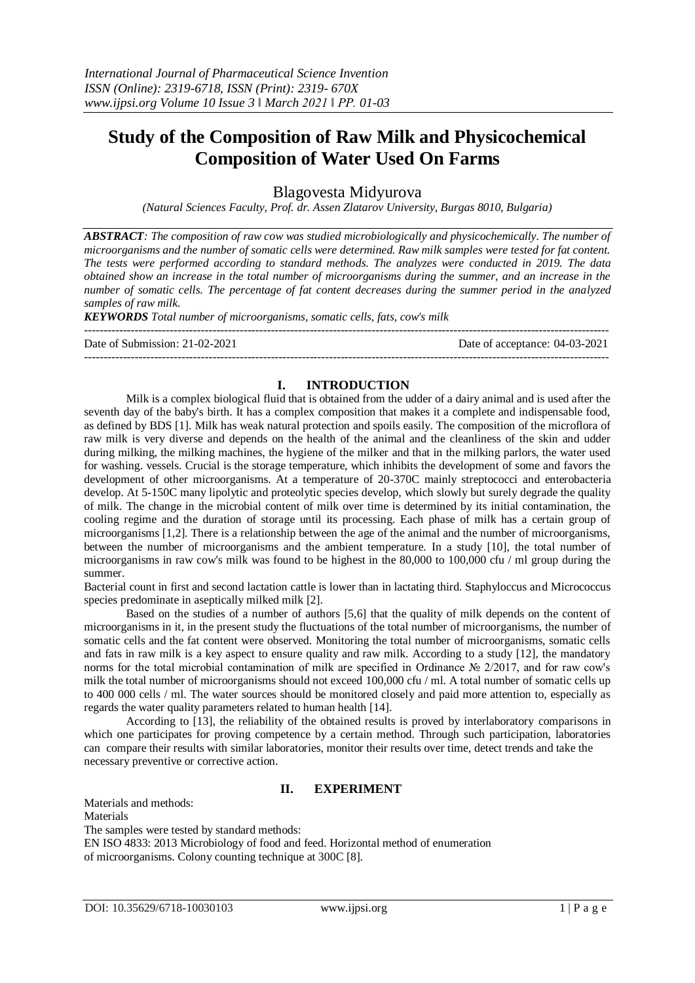# **Study of the Composition of Raw Milk and Physicochemical Composition of Water Used On Farms**

Blagovesta Midyurova

*(Natural Sciences Faculty, Prof. dr. Assen Zlatarov University, Burgas 8010, Bulgaria)*

*ABSTRACT: The composition of raw cow was studied microbiologically and physicochemically. The number of microorganisms and the number of somatic cells were determined. Raw milk samples were tested for fat content. The tests were performed according to standard methods. The analyzes were conducted in 2019. The data obtained show an increase in the total number of microorganisms during the summer, and an increase in the number of somatic cells. The percentage of fat content decreases during the summer period in the analyzed samples of raw milk.*

*KEYWORDS Total number of microorganisms, somatic cells, fats, cow's milk*

--------------------------------------------------------------------------------------------------------------------------------------- Date of Submission: 21-02-2021 Date of acceptance: 04-03-2021 ---------------------------------------------------------------------------------------------------------------------------------------

## **I. INTRODUCTION**

Milk is a complex biological fluid that is obtained from the udder of a dairy animal and is used after the seventh day of the baby's birth. It has a complex composition that makes it a complete and indispensable food, as defined by BDS [1]. Milk has weak natural protection and spoils easily. The composition of the microflora of raw milk is very diverse and depends on the health of the animal and the cleanliness of the skin and udder during milking, the milking machines, the hygiene of the milker and that in the milking parlors, the water used for washing. vessels. Crucial is the storage temperature, which inhibits the development of some and favors the development of other microorganisms. At a temperature of 20-370C mainly streptococci and enterobacteria develop. At 5-150C many lipolytic and proteolytic species develop, which slowly but surely degrade the quality of milk. The change in the microbial content of milk over time is determined by its initial contamination, the cooling regime and the duration of storage until its processing. Each phase of milk has a certain group of microorganisms [1,2]. There is a relationship between the age of the animal and the number of microorganisms, between the number of microorganisms and the ambient temperature. In a study [10], the total number of microorganisms in raw cow's milk was found to be highest in the 80,000 to 100,000 cfu / ml group during the summer.

Bacterial count in first and second lactation cattle is lower than in lactating third. Staphyloccus and Micrococcus species predominate in aseptically milked milk [2].

Based on the studies of a number of authors [5,6] that the quality of milk depends on the content of microorganisms in it, in the present study the fluctuations of the total number of microorganisms, the number of somatic cells and the fat content were observed. Monitoring the total number of microorganisms, somatic cells and fats in raw milk is a key aspect to ensure quality and raw milk. According to a study [12], the mandatory norms for the total microbial contamination of milk are specified in Ordinance № 2/2017, and for raw cow's milk the total number of microorganisms should not exceed 100,000 cfu / ml. A total number of somatic cells up to 400 000 cells / ml. The water sources should be monitored closely and paid more attention to, especially as regards the water quality parameters related to human health [14].

According to [13], the reliability of the obtained results is proved by interlaboratory comparisons in which one participates for proving competence by a certain method. Through such participation, laboratories can compare their results with similar laboratories, monitor their results over time, detect trends and take the necessary preventive or corrective action.

## **II. EXPERIMENT**

Materials and methods: Materials The samples were tested by standard methods: EN ISO 4833: 2013 Microbiology of food and feed. Horizontal method of enumeration of microorganisms. Colony counting technique at 300C [8].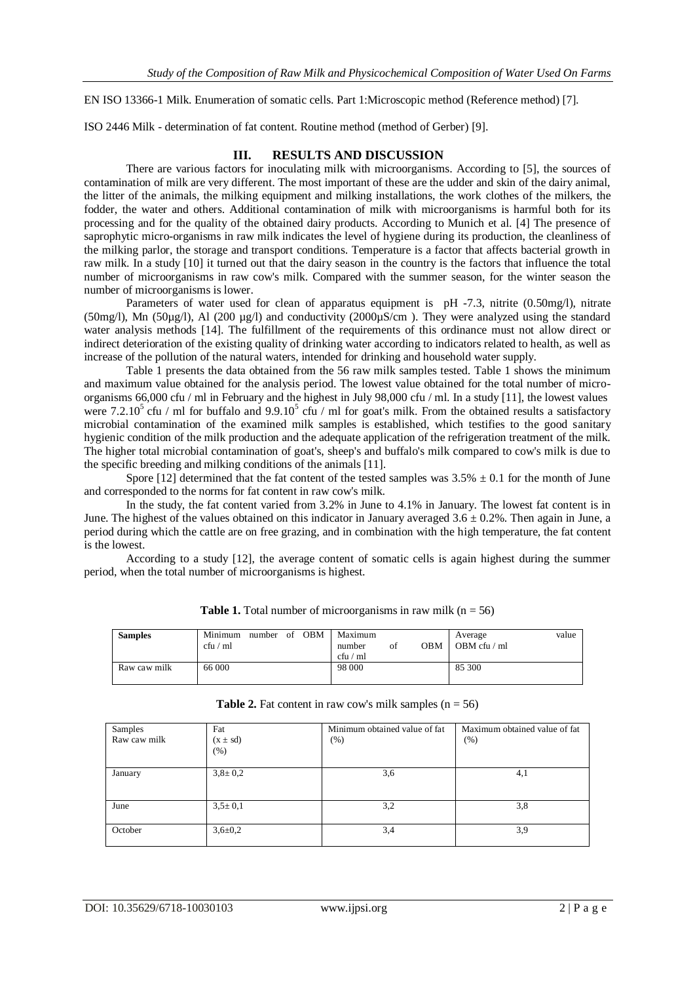EN ISO 13366-1 Milk. Enumeration of somatic cells. Part 1:Microscopic method (Reference method) [7].

ISO 2446 Milk - determination of fat content. Routine method (method of Gerber) [9].

#### **III. RESULTS AND DISCUSSION**

There are various factors for inoculating milk with microorganisms. According to [5], the sources of contamination of milk are very different. The most important of these are the udder and skin of the dairy animal, the litter of the animals, the milking equipment and milking installations, the work clothes of the milkers, the fodder, the water and others. Additional contamination of milk with microorganisms is harmful both for its processing and for the quality of the obtained dairy products. According to Munich et al. [4] The presence of saprophytic micro-organisms in raw milk indicates the level of hygiene during its production, the cleanliness of the milking parlor, the storage and transport conditions. Temperature is a factor that affects bacterial growth in raw milk. In a study [10] it turned out that the dairy season in the country is the factors that influence the total number of microorganisms in raw cow's milk. Compared with the summer season, for the winter season the number of microorganisms is lower.

Parameters of water used for clean of apparatus equipment is pH -7.3, nitrite (0.50mg/l), nitrate (50mg/l), Mn (50 $\mu$ g/l), Al (200  $\mu$ g/l) and conductivity (2000 $\mu$ S/cm). They were analyzed using the standard water analysis methods [14]. The fulfillment of the requirements of this ordinance must not allow direct or indirect deterioration of the existing quality of drinking water according to indicators related to health, as well as increase of the pollution of the natural waters, intended for drinking and household water supply.

Table 1 presents the data obtained from the 56 raw milk samples tested. Table 1 shows the minimum and maximum value obtained for the analysis period. The lowest value obtained for the total number of microorganisms 66,000 cfu / ml in February and the highest in July 98,000 cfu / ml. In a study [11], the lowest values were 7.2.10<sup>5</sup> cfu / ml for buffalo and 9.9.10<sup>5</sup> cfu / ml for goat's milk. From the obtained results a satisfactory microbial contamination of the examined milk samples is established, which testifies to the good sanitary hygienic condition of the milk production and the adequate application of the refrigeration treatment of the milk. The higher total microbial contamination of goat's, sheep's and buffalo's milk compared to cow's milk is due to the specific breeding and milking conditions of the animals [11].

Spore [12] determined that the fat content of the tested samples was  $3.5\% \pm 0.1$  for the month of June and corresponded to the norms for fat content in raw cow's milk.

In the study, the fat content varied from 3.2% in June to 4.1% in January. The lowest fat content is in June. The highest of the values obtained on this indicator in January averaged  $3.6 \pm 0.2$ %. Then again in June, a period during which the cattle are on free grazing, and in combination with the high temperature, the fat content is the lowest.

According to a study [12], the average content of somatic cells is again highest during the summer period, when the total number of microorganisms is highest.

| <b>Samples</b> | Minimum<br>cfu / ml | number | - of | OBM | Maximum<br>number<br>cfu / ml | οt | OBM | Average<br>OBM cfu $/$ ml | value |
|----------------|---------------------|--------|------|-----|-------------------------------|----|-----|---------------------------|-------|
| Raw caw milk   | 66 000              |        |      |     | 98 000                        |    |     | 85 300                    |       |

| <b>Table 1.</b> Total number of microorganisms in raw milk $(n = 56)$ |  |
|-----------------------------------------------------------------------|--|
|                                                                       |  |

| Samples<br>Raw caw milk | Fat<br>$(x \pm sd)$<br>(%) | Minimum obtained value of fat<br>$(\%)$ | Maximum obtained value of fat<br>$(\% )$ |
|-------------------------|----------------------------|-----------------------------------------|------------------------------------------|
| January                 | $3,8 \pm 0,2$              | 3,6                                     | 4,1                                      |
| June                    | $3,5 \pm 0,1$              | 3,2                                     | 3,8                                      |
| October                 | $3,6 \pm 0.2$              | 3,4                                     | 3,9                                      |

**Table 2.** Fat content in raw cow's milk samples  $(n = 56)$